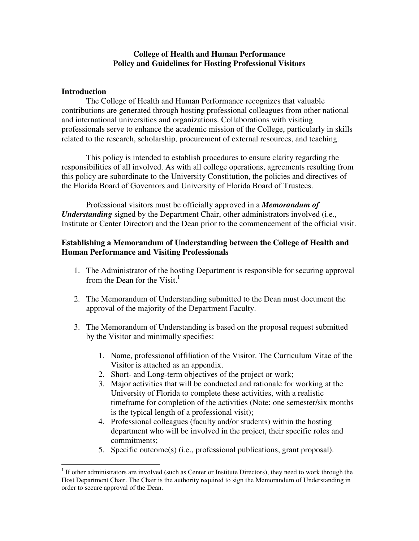## **College of Health and Human Performance Policy and Guidelines for Hosting Professional Visitors**

## **Introduction**

 The College of Health and Human Performance recognizes that valuable contributions are generated through hosting professional colleagues from other national and international universities and organizations. Collaborations with visiting professionals serve to enhance the academic mission of the College, particularly in skills related to the research, scholarship, procurement of external resources, and teaching.

 This policy is intended to establish procedures to ensure clarity regarding the responsibilities of all involved. As with all college operations, agreements resulting from this policy are subordinate to the University Constitution, the policies and directives of the Florida Board of Governors and University of Florida Board of Trustees.

Professional visitors must be officially approved in a *Memorandum of Understanding* signed by the Department Chair, other administrators involved (i.e., Institute or Center Director) and the Dean prior to the commencement of the official visit.

## **Establishing a Memorandum of Understanding between the College of Health and Human Performance and Visiting Professionals**

- 1. The Administrator of the hosting Department is responsible for securing approval from the Dean for the Visit. $<sup>1</sup>$ </sup>
- 2. The Memorandum of Understanding submitted to the Dean must document the approval of the majority of the Department Faculty.
- 3. The Memorandum of Understanding is based on the proposal request submitted by the Visitor and minimally specifies:
	- 1. Name, professional affiliation of the Visitor. The Curriculum Vitae of the Visitor is attached as an appendix.
	- 2. Short- and Long-term objectives of the project or work;
	- 3. Major activities that will be conducted and rationale for working at the University of Florida to complete these activities, with a realistic timeframe for completion of the activities (Note: one semester/six months is the typical length of a professional visit);
	- 4. Professional colleagues (faculty and/or students) within the hosting department who will be involved in the project, their specific roles and commitments;
	- 5. Specific outcome(s) (i.e., professional publications, grant proposal).

<sup>&</sup>lt;sup>1</sup> If other administrators are involved (such as Center or Institute Directors), they need to work through the Host Department Chair. The Chair is the authority required to sign the Memorandum of Understanding in order to secure approval of the Dean.